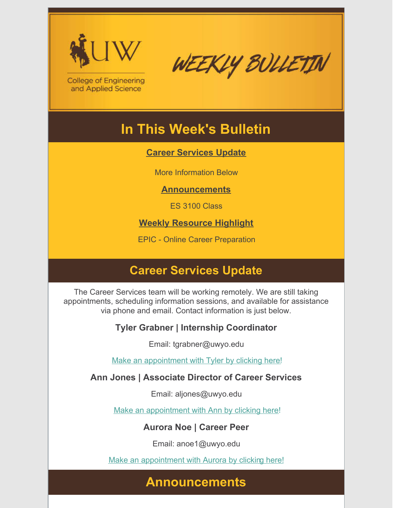



**College of Engineering** and Applied Science

# **In This Week's Bulletin**

#### **Career Services Update**

More Information Below

#### **Announcements**

ES 3100 Class

### **Weekly Resource Highlight**

EPIC - Online Career Preparation

## **Career Services Update**

The Career Services team will be working remotely. We are still taking appointments, scheduling information sessions, and available for assistance via phone and email. Contact information is just below.

### **Tyler Grabner | Internship Coordinator**

Email: tgrabner@uwyo.edu

Make an appointment with Tyler by clicking here!

### **Ann Jones | Associate Director of Career Services**

Email: aljones@uwyo.edu

Make an appointment with Ann by clicking here!

### **Aurora Noe | Career Peer**

Email: anoe1@uwyo.edu

Make an appointment with Aurora by clicking here!

## **Announcements**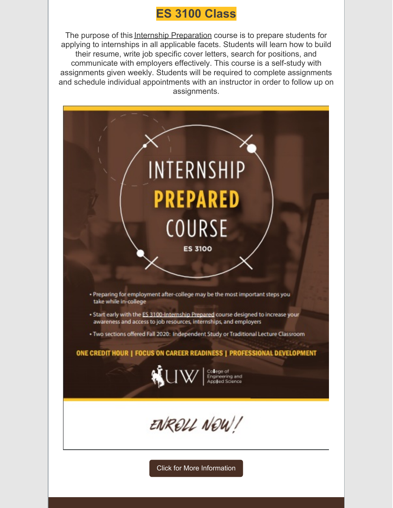### **ES 3100 Class**

The purpose of this Internship Preparation course is to prepare students for applying to internships in all applicable facets. Students will learn how to build their resume, write job specific cover letters, search for positions, and communicate with employers effectively. This course is a self-study with assignments given weekly. Students will be required to complete assignments and schedule individual appointments with an instructor in order to follow up on assignments.



Click for More Information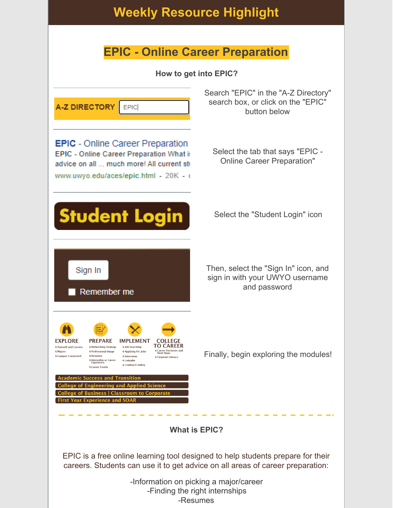